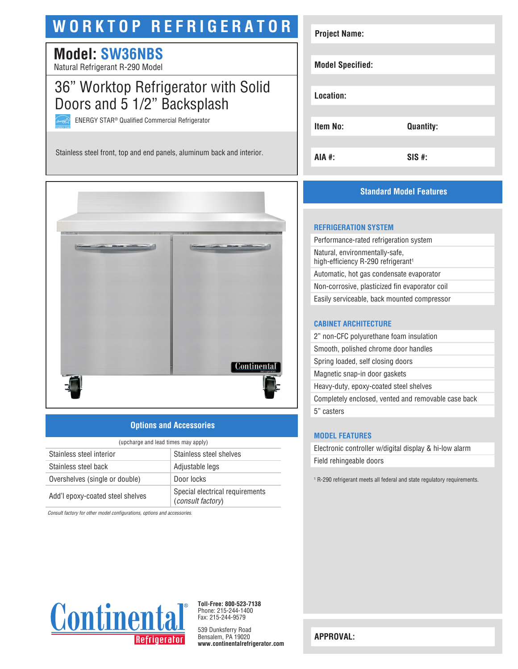# **WORKTOP REFRIGERATOR**

## **Model: SW36NBS**

Natural Refrigerant R-290 Model

## 36" Worktop Refrigerator with Solid Doors and 5 1/2" Backsplash

ENERGY STAR® Qualified Commercial Refrigerator

Stainless steel front, top and end panels, aluminum back and interior.



## **Options and Accessories**

| (upcharge and lead times may apply) |                                                      |  |
|-------------------------------------|------------------------------------------------------|--|
| Stainless steel interior            | Stainless steel shelves                              |  |
| Stainless steel back                | Adjustable legs                                      |  |
| Overshelves (single or double)      | Door locks                                           |  |
| Add'l epoxy-coated steel shelves    | Special electrical requirements<br>(consult factory) |  |

*Consult factory for other model configurations, options and accessories.*



## **Standard Model Features**

#### **REFRIGERATION SYSTEM**

Performance-rated refrigeration system Natural, environmentally-safe, high-efficiency R-290 refrigerant<sup>1</sup> Automatic, hot gas condensate evaporator Non-corrosive, plasticized fin evaporator coil Easily serviceable, back mounted compressor

#### **CABINET ARCHITECTURE**

2" non-CFC polyurethane foam insulation Smooth, polished chrome door handles Spring loaded, self closing doors Magnetic snap-in door gaskets Heavy-duty, epoxy-coated steel shelves Completely enclosed, vented and removable case back 5" casters

#### **MODEL FEATURES**

Electronic controller w/digital display & hi-low alarm Field rehingeable doors

1 R-290 refrigerant meets all federal and state regulatory requirements.



**Toll-Free: 800-523-7138** Phone: 215-244-1400 Fax: 215-244-9579

539 Dunksferry Road Bensalem, PA 19020 **www.continentalrefrigerator.com** 

**APPROVAL:**